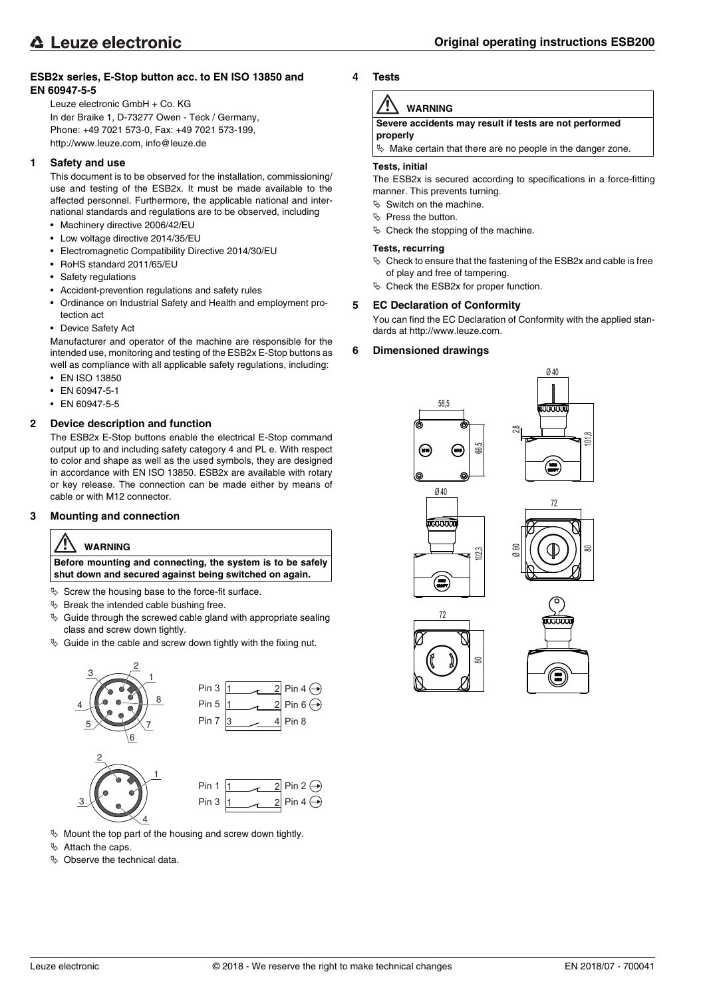## **ESB2x series, E-Stop button acc. to EN ISO 13850 and EN 60947-5-5**

Leuze electronic GmbH + Co. KG In der Braike 1, D-73277 Owen - Teck / Germany, Phone: +49 7021 573-0, Fax: +49 7021 573-199, http://www.leuze.com, info@leuze.de

#### **1 Safety and use**

This document is to be observed for the installation, commissioning/ use and testing of the ESB2x. It must be made available to the affected personnel. Furthermore, the applicable national and international standards and regulations are to be observed, including

- Machinery directive 2006/42/EU
- Low voltage directive 2014/35/EU
- Electromagnetic Compatibility Directive 2014/30/EU
- RoHS standard 2011/65/EU
- Safety regulations
- Accident-prevention regulations and safety rules
- Ordinance on Industrial Safety and Health and employment protection act
- Device Safety Act

Manufacturer and operator of the machine are responsible for the intended use, monitoring and testing of the ESB2x E-Stop buttons as well as compliance with all applicable safety regulations, including:

- EN ISO 13850
- EN 60947-5-1
- EN 60947-5-5

## **2 Device description and function**

The ESB2x E-Stop buttons enable the electrical E-Stop command output up to and including safety category 4 and PL e. With respect to color and shape as well as the used symbols, they are designed in accordance with EN ISO 13850. ESB2x are available with rotary or key release. The connection can be made either by means of cable or with M12 connector.

#### **3 Mounting and connection**

# **WARNING**

**Before mounting and connecting, the system is to be safely shut down and secured against being switched on again.**

- $\%$  Screw the housing base to the force-fit surface.
- $\%$  Break the intended cable bushing free.
- $\&$  Guide through the screwed cable gland with appropriate sealing class and screw down tightly.
- $\&$  Guide in the cable and screw down tightly with the fixing nut.



 $\%$  Mount the top part of the housing and screw down tightly.

- $\%$  Attach the caps.
- $\%$  Observe the technical data.

**4 Tests**

# **WARNING**

**Severe accidents may result if tests are not performed properly**

 $\%$  Make certain that there are no people in the danger zone.

#### **Tests, initial**

The ESB2x is secured according to specifications in a force-fitting manner. This prevents turning.

- $\%$  Switch on the machine.
- $\&$  Press the button.
- $\%$  Check the stopping of the machine.

#### **Tests, recurring**

- $\%$  Check to ensure that the fastening of the ESB2x and cable is free of play and free of tampering.
- $\%$  Check the ESB2x for proper function.

## **5 EC Declaration of Conformity**

You can find the EC Declaration of Conformity with the applied standards at http://www.leuze.com.

## **6 Dimensioned drawings**